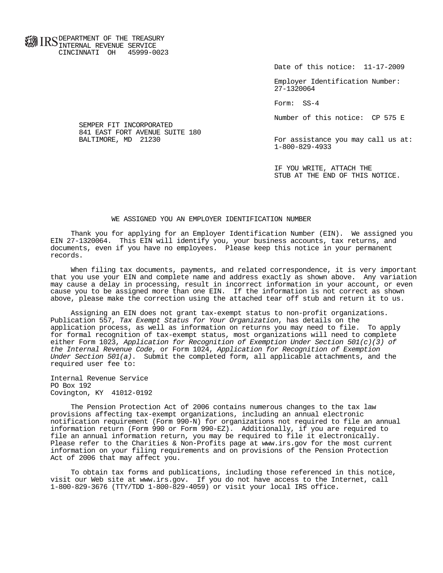**FOR ID C** DEPARTMENT OF THE TREASURY **WWW IIND** INTERNAL REVENUE SERVICE CINCINNATI OH 45999-0023

Date of this notice: 11-17-2009

 Employer Identification Number: 27-1320064

Form: SS-4

Number of this notice: CP 575 E

For assistance you may call us at: 1-800-829-4933

 IF YOU WRITE, ATTACH THE STUB AT THE END OF THIS NOTICE.

## WE ASSIGNED YOU AN EMPLOYER IDENTIFICATION NUMBER

 Thank you for applying for an Employer Identification Number (EIN). We assigned you EIN 27-1320064. This EIN will identify you, your business accounts, tax returns, and documents, even if you have no employees. Please keep this notice in your permanent records.

 When filing tax documents, payments, and related correspondence, it is very important that you use your EIN and complete name and address exactly as shown above. Any variation may cause a delay in processing, result in incorrect information in your account, or even cause you to be assigned more than one EIN. If the information is not correct as shown above, please make the correction using the attached tear off stub and return it to us.

 Assigning an EIN does not grant tax-exempt status to non-profit organizations. Publication 557, Tax Exempt Status for Your Organization, has details on the application process, as well as information on returns you may need to file. To apply for formal recognition of tax-exempt status, most organizations will need to complete either Form 1023, Application for Recognition of Exemption Under Section 501(c)(3) of the Internal Revenue Code, or Form 1024, Application for Recognition of Exemption Under Section 501(a). Submit the completed form, all applicable attachments, and the required user fee to:

 Internal Revenue Service PO Box 192 Covington, KY 41012-0192

 The Pension Protection Act of 2006 contains numerous changes to the tax law provisions affecting tax-exempt organizations, including an annual electronic notification requirement (Form 990-N) for organizations not required to file an annual information return (Form 990 or Form 990-EZ). Additionally, if you are required to file an annual information return, you may be required to file it electronically. Please refer to the Charities & Non-Profits page at www.irs.gov for the most current information on your filing requirements and on provisions of the Pension Protection Act of 2006 that may affect you.

 To obtain tax forms and publications, including those referenced in this notice, visit our Web site at www.irs.gov. If you do not have access to the Internet, call 1-800-829-3676 (TTY/TDD 1-800-829-4059) or visit your local IRS office.

 SEMPER FIT INCORPORATED 841 EAST FORT AVENUE SUITE 180<br>BALTIMORE, MD 21230